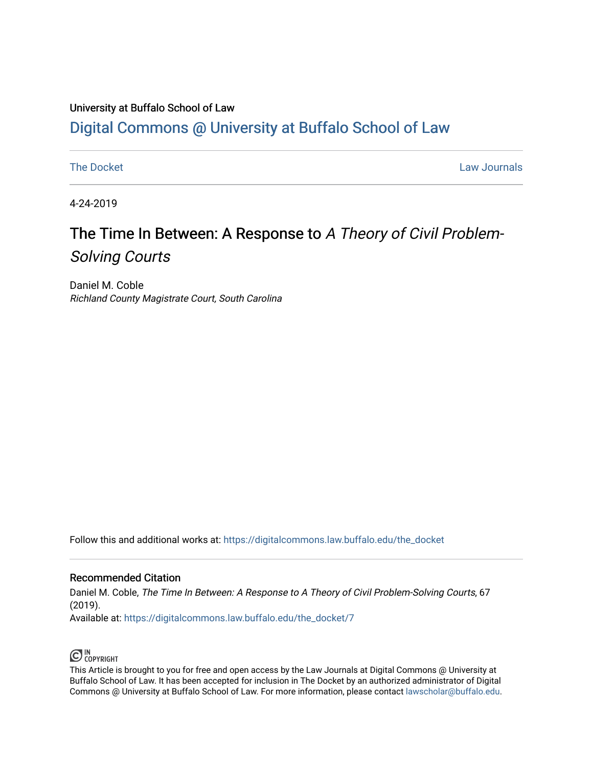## University at Buffalo School of Law [Digital Commons @ University at Buffalo School of Law](https://digitalcommons.law.buffalo.edu/)

[The Docket](https://digitalcommons.law.buffalo.edu/the_docket) [Law Journals](https://digitalcommons.law.buffalo.edu/law_journals) and the Docket Law Journals and the Docket Law Journals and the Law Journals and the Law Journals and the Law Journals and the Law Journals and the Law Journals and the Law Journals and the Law Jour

4-24-2019

# The Time In Between: A Response to A Theory of Civil Problem-Solving Courts

Daniel M. Coble Richland County Magistrate Court, South Carolina

Follow this and additional works at: [https://digitalcommons.law.buffalo.edu/the\\_docket](https://digitalcommons.law.buffalo.edu/the_docket?utm_source=digitalcommons.law.buffalo.edu%2Fthe_docket%2F7&utm_medium=PDF&utm_campaign=PDFCoverPages) 

#### Recommended Citation

Daniel M. Coble, The Time In Between: A Response to A Theory of Civil Problem-Solving Courts, 67 (2019). Available at: [https://digitalcommons.law.buffalo.edu/the\\_docket/7](https://digitalcommons.law.buffalo.edu/the_docket/7?utm_source=digitalcommons.law.buffalo.edu%2Fthe_docket%2F7&utm_medium=PDF&utm_campaign=PDFCoverPages) 

## $\bigodot$  IN COPYRIGHT

This Article is brought to you for free and open access by the Law Journals at Digital Commons @ University at Buffalo School of Law. It has been accepted for inclusion in The Docket by an authorized administrator of Digital Commons @ University at Buffalo School of Law. For more information, please contact [lawscholar@buffalo.edu](mailto:lawscholar@buffalo.edu).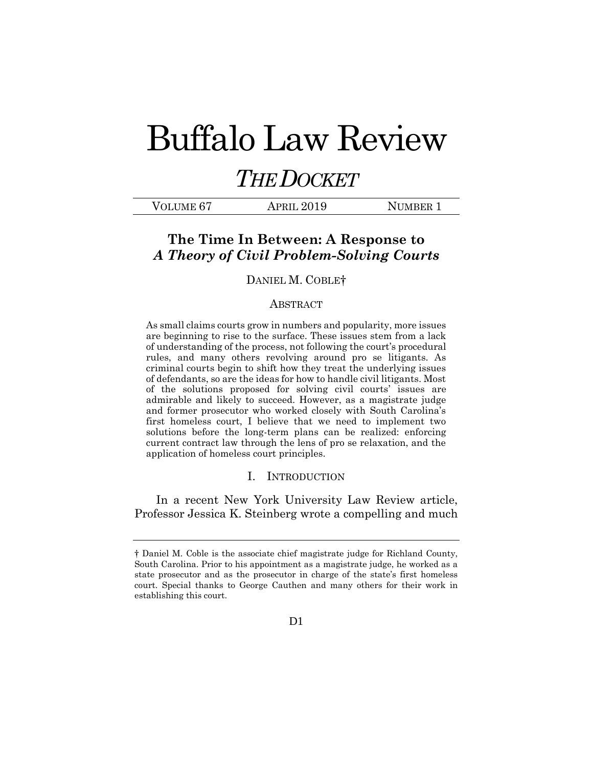# Buffalo Law Review

# *THE DOCKET*

| VOLUME <sub>67</sub> | APRIL 2019 | NUMBER 1 |
|----------------------|------------|----------|
|                      |            |          |

### **The Time In Between: A Response to**  *A Theory of Civil Problem-Solving Courts*

#### DANIEL M. COBLE†

#### ABSTRACT

As small claims courts grow in numbers and popularity, more issues are beginning to rise to the surface. These issues stem from a lack of understanding of the process, not following the court's procedural rules, and many others revolving around pro se litigants. As criminal courts begin to shift how they treat the underlying issues of defendants, so are the ideas for how to handle civil litigants. Most of the solutions proposed for solving civil courts' issues are admirable and likely to succeed. However, as a magistrate judge and former prosecutor who worked closely with South Carolina's first homeless court, I believe that we need to implement two solutions before the long-term plans can be realized: enforcing current contract law through the lens of pro se relaxation, and the application of homeless court principles.

#### I. INTRODUCTION

In a recent New York University Law Review article, Professor Jessica K. Steinberg wrote a compelling and much

<sup>†</sup> Daniel M. Coble is the associate chief magistrate judge for Richland County, South Carolina. Prior to his appointment as a magistrate judge, he worked as a state prosecutor and as the prosecutor in charge of the state's first homeless court. Special thanks to George Cauthen and many others for their work in establishing this court.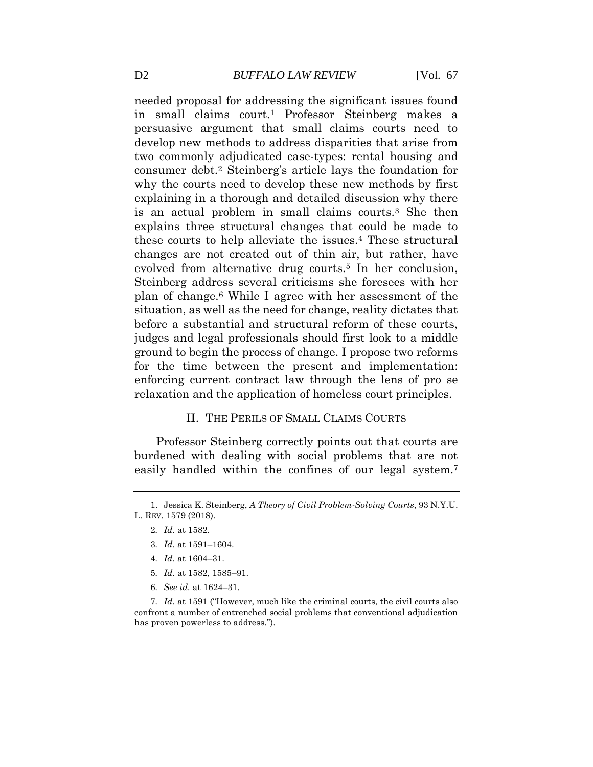needed proposal for addressing the significant issues found in small claims court.<sup>1</sup> Professor Steinberg makes a persuasive argument that small claims courts need to develop new methods to address disparities that arise from two commonly adjudicated case-types: rental housing and consumer debt.<sup>2</sup> Steinberg's article lays the foundation for why the courts need to develop these new methods by first explaining in a thorough and detailed discussion why there is an actual problem in small claims courts.<sup>3</sup> She then explains three structural changes that could be made to these courts to help alleviate the issues.<sup>4</sup> These structural changes are not created out of thin air, but rather, have evolved from alternative drug courts.<sup>5</sup> In her conclusion, Steinberg address several criticisms she foresees with her plan of change.<sup>6</sup> While I agree with her assessment of the situation, as well as the need for change, reality dictates that before a substantial and structural reform of these courts, judges and legal professionals should first look to a middle ground to begin the process of change. I propose two reforms for the time between the present and implementation: enforcing current contract law through the lens of pro se relaxation and the application of homeless court principles.

#### II. THE PERILS OF SMALL CLAIMS COURTS

Professor Steinberg correctly points out that courts are burdened with dealing with social problems that are not easily handled within the confines of our legal system.<sup>7</sup>

- 4*. Id.* at 1604–31.
- 5*. Id.* at 1582, 1585–91.
- 6*. See id.* at 1624–31.

7*. Id.* at 1591 ("However, much like the criminal courts, the civil courts also confront a number of entrenched social problems that conventional adjudication has proven powerless to address.").

<sup>1.</sup> Jessica K. Steinberg, *A Theory of Civil Problem-Solving Courts*, 93 N.Y.U. L. REV. 1579 (2018).

<sup>2</sup>*. Id.* at 1582.

<sup>3</sup>*. Id.* at 1591–1604.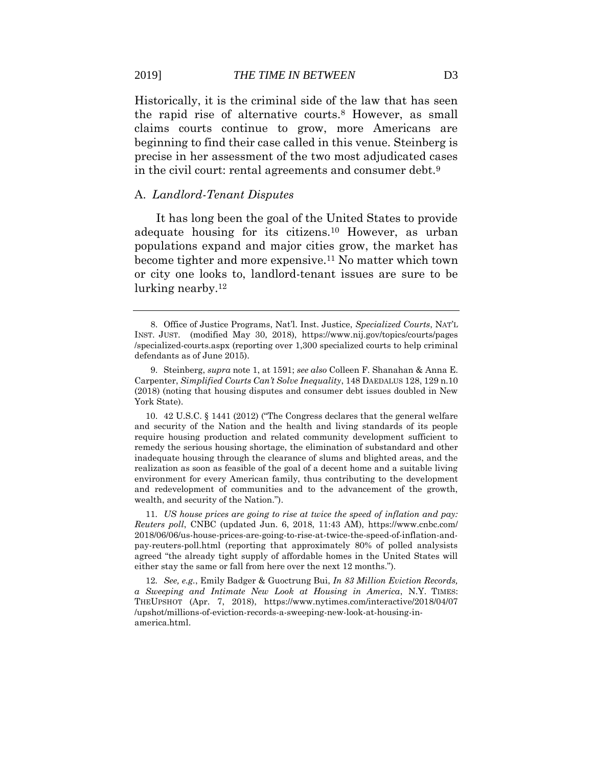Historically, it is the criminal side of the law that has seen the rapid rise of alternative courts.<sup>8</sup> However, as small claims courts continue to grow, more Americans are beginning to find their case called in this venue. Steinberg is precise in her assessment of the two most adjudicated cases in the civil court: rental agreements and consumer debt.<sup>9</sup>

#### A. *Landlord-Tenant Disputes*

It has long been the goal of the United States to provide adequate housing for its citizens.<sup>10</sup> However, as urban populations expand and major cities grow, the market has become tighter and more expensive.<sup>11</sup> No matter which town or city one looks to, landlord-tenant issues are sure to be lurking nearby.<sup>12</sup>

11*. US house prices are going to rise at twice the speed of inflation and pay: Reuters poll*, CNBC (updated Jun. 6, 2018, 11:43 AM), https://www.cnbc.com/ 2018/06/06/us-house-prices-are-going-to-rise-at-twice-the-speed-of-inflation-andpay-reuters-poll.html (reporting that approximately 80% of polled analysists agreed "the already tight supply of affordable homes in the United States will either stay the same or fall from here over the next 12 months.").

12*. See, e.g.*, Emily Badger & Guoctrung Bui, *In 83 Million Eviction Records, a Sweeping and Intimate New Look at Housing in America*, N.Y. TIMES: THEUPSHOT (Apr. 7, 2018), https://www.nytimes.com/interactive/2018/04/07 /upshot/millions-of-eviction-records-a-sweeping-new-look-at-housing-inamerica.html.

<sup>8.</sup> Office of Justice Programs, Nat'l. Inst. Justice, *Specialized Courts*, NAT'L INST. JUST. (modified May 30, 2018), https://www.nij.gov/topics/courts/pages /specialized-courts.aspx (reporting over 1,300 specialized courts to help criminal defendants as of June 2015).

<sup>9.</sup> Steinberg, *supra* note 1, at 1591; *see also* Colleen F. Shanahan & Anna E. Carpenter, *Simplified Courts Can't Solve Inequality*, 148 DAEDALUS 128, 129 n.10 (2018) (noting that housing disputes and consumer debt issues doubled in New York State).

<sup>10.</sup> 42 U.S.C. § 1441 (2012) ("The Congress declares that the general welfare and security of the Nation and the health and living standards of its people require housing production and related community development sufficient to remedy the serious housing shortage, the elimination of substandard and other inadequate housing through the clearance of slums and blighted areas, and the realization as soon as feasible of the goal of a decent home and a suitable living environment for every American family, thus contributing to the development and redevelopment of communities and to the advancement of the growth, wealth, and security of the Nation.").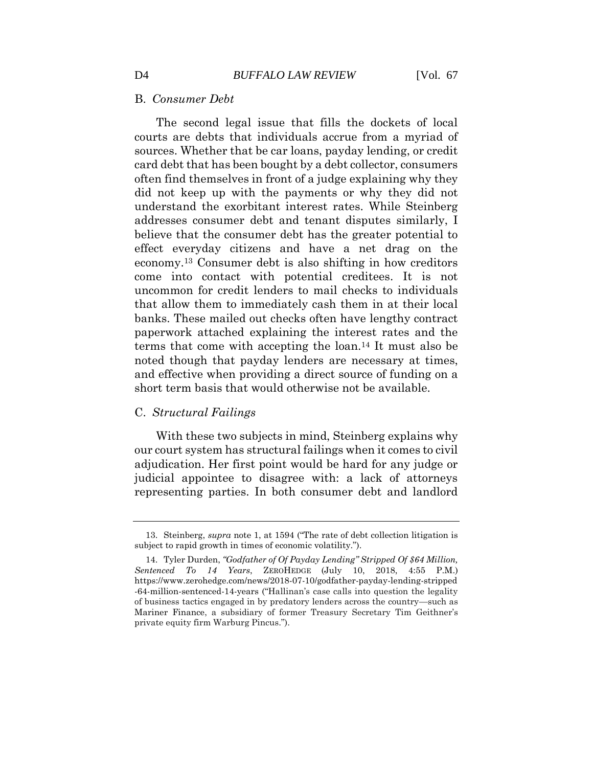#### B. *Consumer Debt*

The second legal issue that fills the dockets of local courts are debts that individuals accrue from a myriad of sources. Whether that be car loans, payday lending, or credit card debt that has been bought by a debt collector, consumers often find themselves in front of a judge explaining why they did not keep up with the payments or why they did not understand the exorbitant interest rates. While Steinberg addresses consumer debt and tenant disputes similarly, I believe that the consumer debt has the greater potential to effect everyday citizens and have a net drag on the economy.<sup>13</sup> Consumer debt is also shifting in how creditors come into contact with potential creditees. It is not uncommon for credit lenders to mail checks to individuals that allow them to immediately cash them in at their local banks. These mailed out checks often have lengthy contract paperwork attached explaining the interest rates and the terms that come with accepting the loan.<sup>14</sup> It must also be noted though that payday lenders are necessary at times, and effective when providing a direct source of funding on a short term basis that would otherwise not be available.

#### C. *Structural Failings*

With these two subjects in mind, Steinberg explains why our court system has structural failings when it comes to civil adjudication. Her first point would be hard for any judge or judicial appointee to disagree with: a lack of attorneys representing parties. In both consumer debt and landlord

<sup>13.</sup> Steinberg, *supra* note 1, at 1594 ("The rate of debt collection litigation is subject to rapid growth in times of economic volatility.").

<sup>14.</sup> [Tyler](https://austincountynewsonline.com/godfather-of-payday-lending-stripped-of-64-million-sentenced-to-14-years/) Durden, *"Godfather of Of Payday Lending" Stripped Of \$64 Million, Sentenced To 14 Years*, ZEROHEDGE (July 10, 2018, 4:55 P.M.) https://www.zerohedge.com/news/2018-07-10/godfather-payday-lending-stripped -64-million-sentenced-14-years ("Hallinan's case calls into question the legality of business tactics engaged in by predatory lenders across the country—such as Mariner Finance, a subsidiary of former Treasury Secretary Tim Geithner's private equity firm Warburg Pincus.").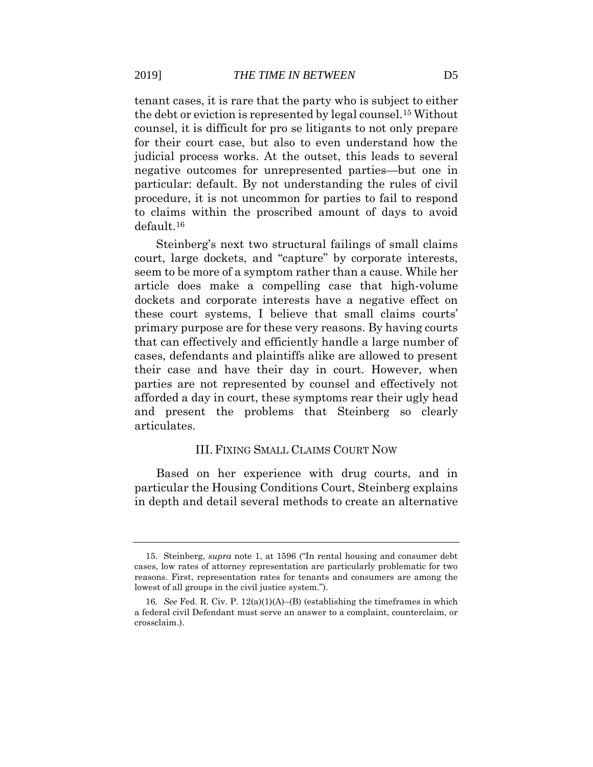tenant cases, it is rare that the party who is subject to either the debt or eviction is represented by legal counsel.<sup>15</sup> Without counsel, it is difficult for pro se litigants to not only prepare for their court case, but also to even understand how the judicial process works. At the outset, this leads to several negative outcomes for unrepresented parties—but one in particular: default. By not understanding the rules of civil procedure, it is not uncommon for parties to fail to respond to claims within the proscribed amount of days to avoid default.<sup>16</sup>

Steinberg's next two structural failings of small claims court, large dockets, and "capture" by corporate interests, seem to be more of a symptom rather than a cause. While her article does make a compelling case that high-volume dockets and corporate interests have a negative effect on these court systems, I believe that small claims courts' primary purpose are for these very reasons. By having courts that can effectively and efficiently handle a large number of cases, defendants and plaintiffs alike are allowed to present their case and have their day in court. However, when parties are not represented by counsel and effectively not afforded a day in court, these symptoms rear their ugly head and present the problems that Steinberg so clearly articulates.

#### III. FIXING SMALL CLAIMS COURT NOW

Based on her experience with drug courts, and in particular the Housing Conditions Court, Steinberg explains in depth and detail several methods to create an alternative

<sup>15.</sup> Steinberg, *supra* note 1, at 1596 ("In rental housing and consumer debt cases, low rates of attorney representation are particularly problematic for two reasons. First, representation rates for tenants and consumers are among the lowest of all groups in the civil justice system.").

<sup>16</sup>*. See* Fed. R. Civ. P. 12(a)(1)(A)–(B) (establishing the timeframes in which a federal civil Defendant must serve an answer to a complaint, counterclaim, or crossclaim.).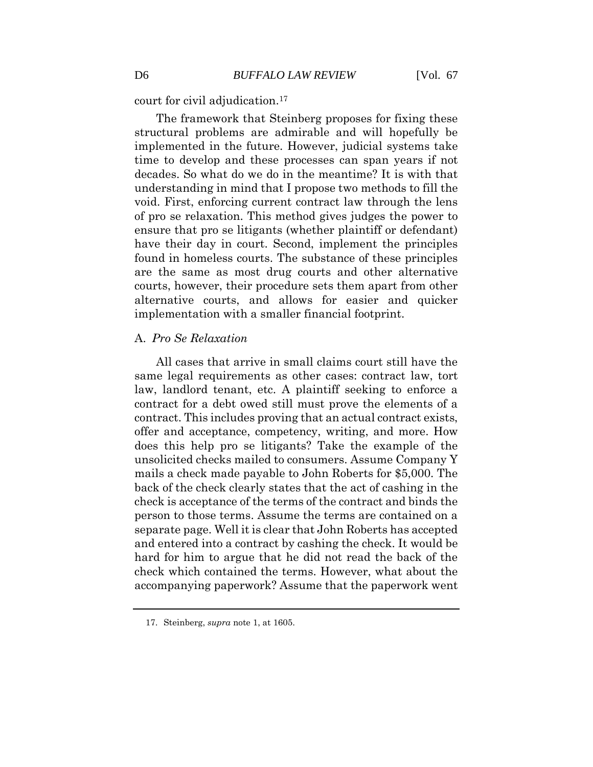court for civil adjudication.<sup>17</sup>

The framework that Steinberg proposes for fixing these structural problems are admirable and will hopefully be implemented in the future. However, judicial systems take time to develop and these processes can span years if not decades. So what do we do in the meantime? It is with that understanding in mind that I propose two methods to fill the void. First, enforcing current contract law through the lens of pro se relaxation. This method gives judges the power to ensure that pro se litigants (whether plaintiff or defendant) have their day in court. Second, implement the principles found in homeless courts. The substance of these principles are the same as most drug courts and other alternative courts, however, their procedure sets them apart from other alternative courts, and allows for easier and quicker implementation with a smaller financial footprint.

#### A. *Pro Se Relaxation*

All cases that arrive in small claims court still have the same legal requirements as other cases: contract law, tort law, landlord tenant, etc. A plaintiff seeking to enforce a contract for a debt owed still must prove the elements of a contract. This includes proving that an actual contract exists, offer and acceptance, competency, writing, and more. How does this help pro se litigants? Take the example of the unsolicited checks mailed to consumers. Assume Company Y mails a check made payable to John Roberts for \$5,000. The back of the check clearly states that the act of cashing in the check is acceptance of the terms of the contract and binds the person to those terms. Assume the terms are contained on a separate page. Well it is clear that John Roberts has accepted and entered into a contract by cashing the check. It would be hard for him to argue that he did not read the back of the check which contained the terms. However, what about the accompanying paperwork? Assume that the paperwork went

<sup>17.</sup> Steinberg, *supra* note 1, at 1605.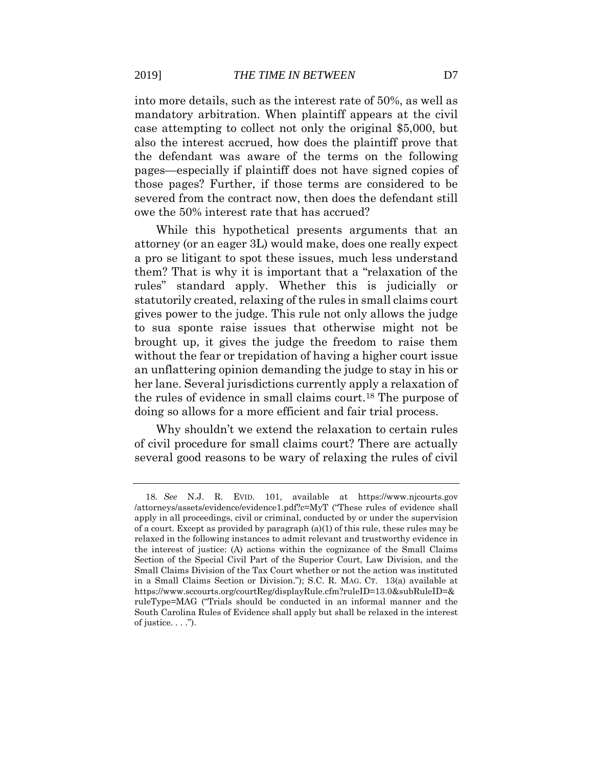into more details, such as the interest rate of 50%, as well as mandatory arbitration. When plaintiff appears at the civil case attempting to collect not only the original \$5,000, but also the interest accrued, how does the plaintiff prove that the defendant was aware of the terms on the following pages—especially if plaintiff does not have signed copies of those pages? Further, if those terms are considered to be severed from the contract now, then does the defendant still owe the 50% interest rate that has accrued?

While this hypothetical presents arguments that an attorney (or an eager 3L) would make, does one really expect a pro se litigant to spot these issues, much less understand them? That is why it is important that a "relaxation of the rules" standard apply. Whether this is judicially or statutorily created, relaxing of the rules in small claims court gives power to the judge. This rule not only allows the judge to sua sponte raise issues that otherwise might not be brought up, it gives the judge the freedom to raise them without the fear or trepidation of having a higher court issue an unflattering opinion demanding the judge to stay in his or her lane. Several jurisdictions currently apply a relaxation of the rules of evidence in small claims court.<sup>18</sup> The purpose of doing so allows for a more efficient and fair trial process.

Why shouldn't we extend the relaxation to certain rules of civil procedure for small claims court? There are actually several good reasons to be wary of relaxing the rules of civil

<sup>18</sup>*. See* N.J. R. EVID. 101, available at https://www.njcourts.gov /attorneys/assets/evidence/evidence1.pdf?c=MyT ("These rules of evidence shall apply in all proceedings, civil or criminal, conducted by or under the supervision of a court. Except as provided by paragraph  $(a)(1)$  of this rule, these rules may be relaxed in the following instances to admit relevant and trustworthy evidence in the interest of justice: (A) actions within the cognizance of the Small Claims Section of the Special Civil Part of the Superior Court, Law Division, and the Small Claims Division of the Tax Court whether or not the action was instituted in a Small Claims Section or Division."); S.C. R. MAG. CT. 13(a) available at https://www.sccourts.org/courtReg/displayRule.cfm?ruleID=13.0&subRuleID=& ruleType=MAG ("Trials should be conducted in an informal manner and the South Carolina Rules of Evidence shall apply but shall be relaxed in the interest of justice.  $\ldots$ ").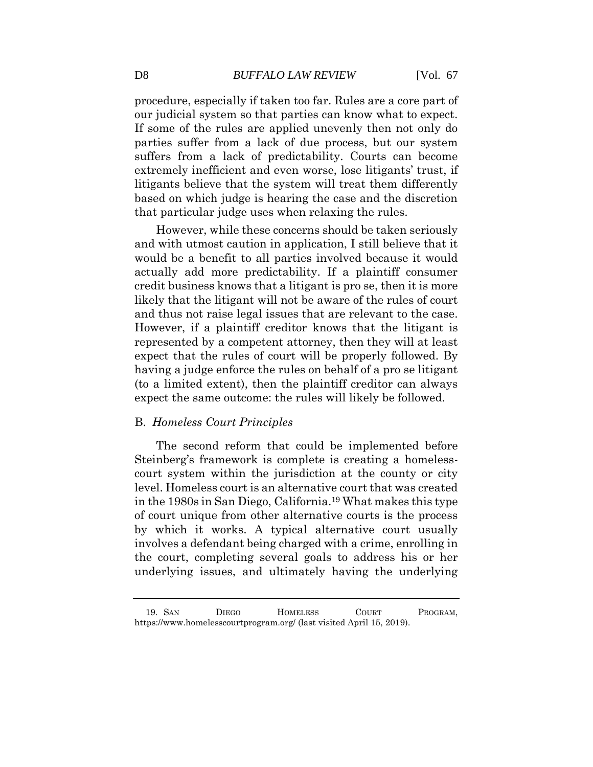procedure, especially if taken too far. Rules are a core part of our judicial system so that parties can know what to expect. If some of the rules are applied unevenly then not only do parties suffer from a lack of due process, but our system suffers from a lack of predictability. Courts can become extremely inefficient and even worse, lose litigants' trust, if litigants believe that the system will treat them differently based on which judge is hearing the case and the discretion that particular judge uses when relaxing the rules.

However, while these concerns should be taken seriously and with utmost caution in application, I still believe that it would be a benefit to all parties involved because it would actually add more predictability. If a plaintiff consumer credit business knows that a litigant is pro se, then it is more likely that the litigant will not be aware of the rules of court and thus not raise legal issues that are relevant to the case. However, if a plaintiff creditor knows that the litigant is represented by a competent attorney, then they will at least expect that the rules of court will be properly followed. By having a judge enforce the rules on behalf of a pro se litigant (to a limited extent), then the plaintiff creditor can always expect the same outcome: the rules will likely be followed.

#### B. *Homeless Court Principles*

The second reform that could be implemented before Steinberg's framework is complete is creating a homelesscourt system within the jurisdiction at the county or city level. Homeless court is an alternative court that was created in the 1980s in San Diego, California.<sup>19</sup> What makes this type of court unique from other alternative courts is the process by which it works. A typical alternative court usually involves a defendant being charged with a crime, enrolling in the court, completing several goals to address his or her underlying issues, and ultimately having the underlying

<sup>19.</sup> SAN DIEGO HOMELESS COURT PROGRAM, https://www.homelesscourtprogram.org/ (last visited April 15, 2019).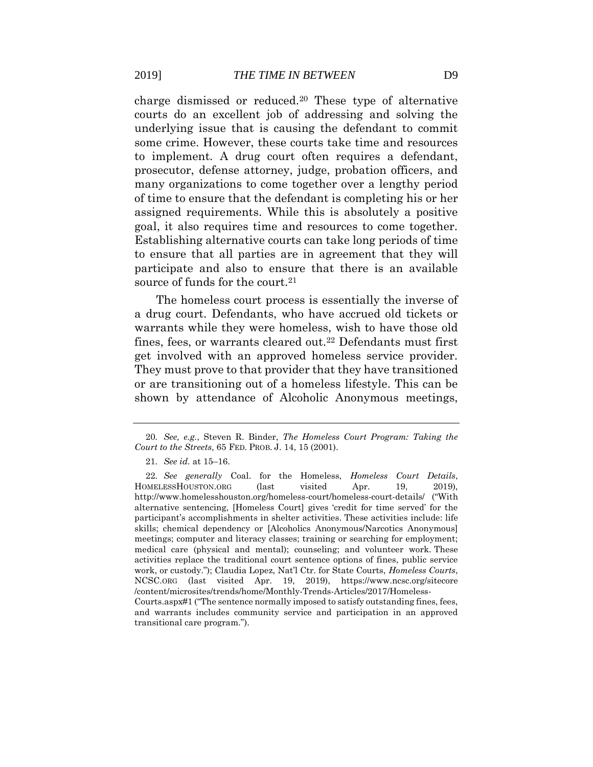charge dismissed or reduced.<sup>20</sup> These type of alternative courts do an excellent job of addressing and solving the underlying issue that is causing the defendant to commit some crime. However, these courts take time and resources to implement. A drug court often requires a defendant, prosecutor, defense attorney, judge, probation officers, and many organizations to come together over a lengthy period of time to ensure that the defendant is completing his or her assigned requirements. While this is absolutely a positive goal, it also requires time and resources to come together. Establishing alternative courts can take long periods of time to ensure that all parties are in agreement that they will participate and also to ensure that there is an available source of funds for the court.<sup>21</sup>

The homeless court process is essentially the inverse of a drug court. Defendants, who have accrued old tickets or warrants while they were homeless, wish to have those old fines, fees, or warrants cleared out.<sup>22</sup> Defendants must first get involved with an approved homeless service provider. They must prove to that provider that they have transitioned or are transitioning out of a homeless lifestyle. This can be shown by attendance of Alcoholic Anonymous meetings,

transitional care program.").

<sup>20</sup>*. See, e.g.*, Steven R. Binder, *The Homeless Court Program: Taking the Court to the Streets*, 65 FED. PROB. J. 14, 15 (2001).

<sup>21</sup>*. See id.* at 15–16.

<sup>22</sup>*. See generally* Coal. for the Homeless, *Homeless Court Details*, HOMELESSHOUSTON.ORG (last visited Apr. 19, 2019), http://www.homelesshouston.org/homeless-court/homeless-court-details/ ("With alternative sentencing, [Homeless Court] gives 'credit for time served' for the participant's accomplishments in shelter activities. These activities include: life skills; chemical dependency or [Alcoholics Anonymous/Narcotics Anonymous] meetings; computer and literacy classes; training or searching for employment; medical care (physical and mental); counseling; and volunteer work. These activities replace the traditional court sentence options of fines, public service work, or custody."); Claudia Lopez, Nat'l Ctr. for State Courts, *Homeless Courts*, NCSC.ORG (last visited Apr. 19, 2019), https://www.ncsc.org/sitecore /content/microsites/trends/home/Monthly-Trends-Articles/2017/Homeless-Courts.aspx#1 ("The sentence normally imposed to satisfy outstanding fines, fees, and warrants includes community service and participation in an approved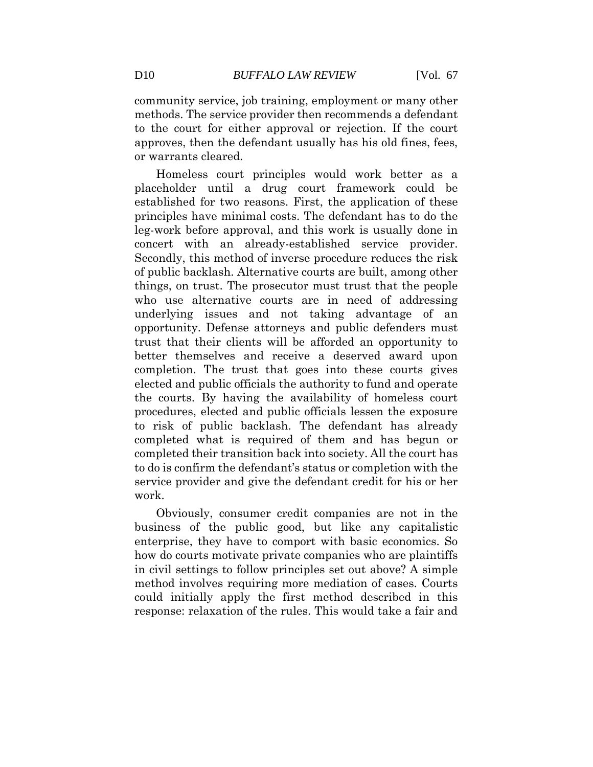community service, job training, employment or many other methods. The service provider then recommends a defendant to the court for either approval or rejection. If the court approves, then the defendant usually has his old fines, fees, or warrants cleared.

Homeless court principles would work better as a placeholder until a drug court framework could be established for two reasons. First, the application of these principles have minimal costs. The defendant has to do the leg-work before approval, and this work is usually done in concert with an already-established service provider. Secondly, this method of inverse procedure reduces the risk of public backlash. Alternative courts are built, among other things, on trust. The prosecutor must trust that the people who use alternative courts are in need of addressing underlying issues and not taking advantage of an opportunity. Defense attorneys and public defenders must trust that their clients will be afforded an opportunity to better themselves and receive a deserved award upon completion. The trust that goes into these courts gives elected and public officials the authority to fund and operate the courts. By having the availability of homeless court procedures, elected and public officials lessen the exposure to risk of public backlash. The defendant has already completed what is required of them and has begun or completed their transition back into society. All the court has to do is confirm the defendant's status or completion with the service provider and give the defendant credit for his or her work.

Obviously, consumer credit companies are not in the business of the public good, but like any capitalistic enterprise, they have to comport with basic economics. So how do courts motivate private companies who are plaintiffs in civil settings to follow principles set out above? A simple method involves requiring more mediation of cases. Courts could initially apply the first method described in this response: relaxation of the rules. This would take a fair and